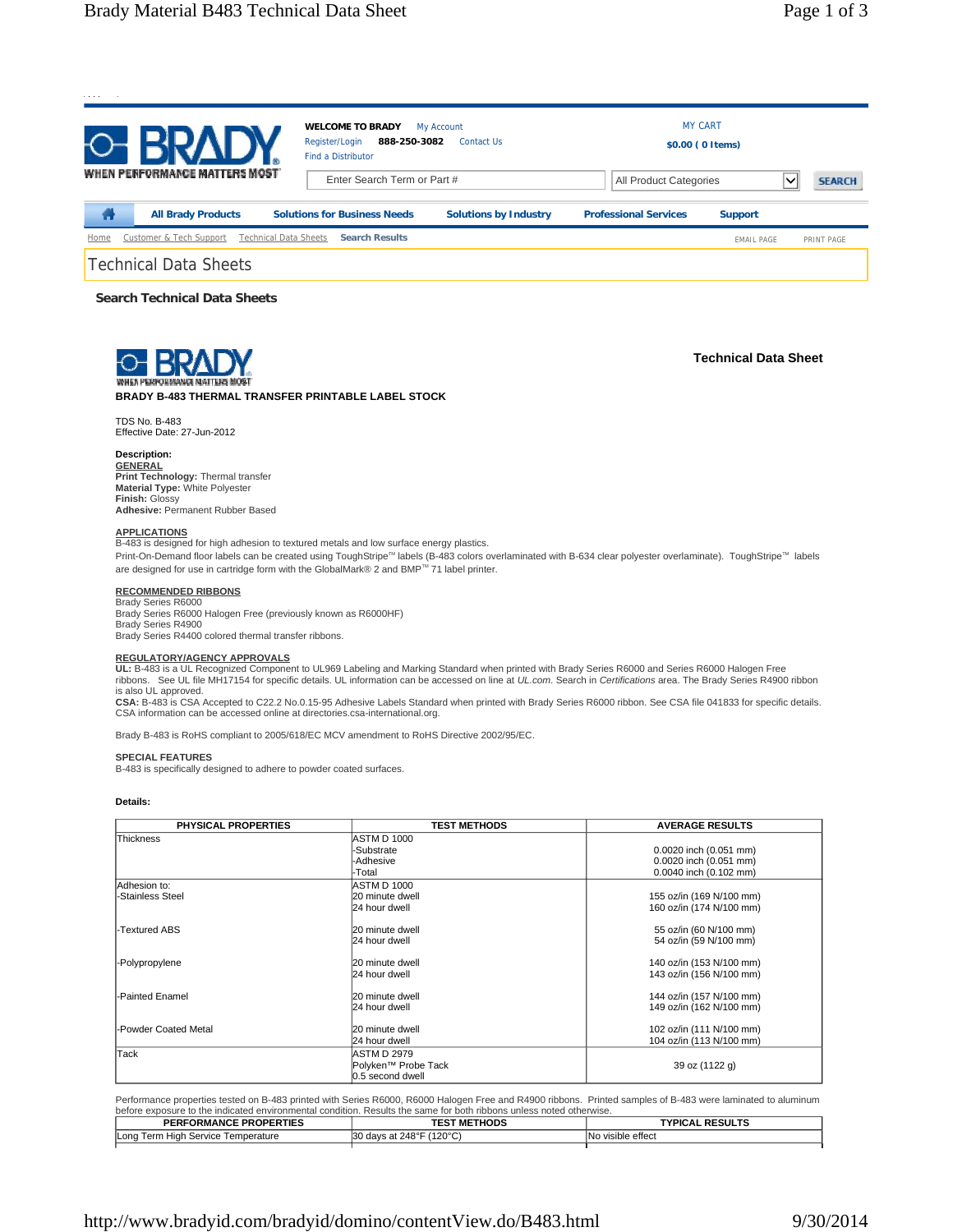

**Search Technical Data Sheets**



**Technical Data Sheet**

# **BRADY B-483 THERMAL TRANSFER PRINTABLE LABEL STOCK**

TDS No. B-483 Effective Date: 27-Jun-2012

## **Description:**

**GENERAL Print Technology:** Thermal transfer **Material Type:** White Polyester **Finish:** Glossy **Adhesive:** Permanent Rubber Based

#### **APPLICATIONS**

B-483 is designed for high adhesion to textured metals and low surface energy plastics.

Print-On-Demand floor labels can be created using ToughStripe<sup>TM</sup> labels (B-483 colors overlaminated with B-634 clear polyester overlaminate). ToughStripe<sup>TM</sup> labels are designed for use in cartridge form with the GlobalMark® 2 and BMP™ 71 label printer.

### **RECOMMENDED RIBBONS**

Brady Series R6000 Brady Series R6000 Halogen Free (previously known as R6000HF) Brady Series R4900

Brady Series R4400 colored thermal transfer ribbons.

### **REGULATORY/AGENCY APPROVALS**

**UL:** B-483 is a UL Recognized Component to UL969 Labeling and Marking Standard when printed with Brady Series R6000 and Series R6000 Halogen Free ribbons. See UL file MH17154 for specific details. UL information can be accessed on line at *UL.com*. Search in *Certifications* area. The Brady Series R4900 ribbon is also UL approved.

**CSA:** B-483 is CSA Accepted to C22.2 No.0.15-95 Adhesive Labels Standard when printed with Brady Series R6000 ribbon. See CSA file 041833 for specific details. CSA information can be accessed online at directories.csa-international.org.

Brady B-483 is RoHS compliant to 2005/618/EC MCV amendment to RoHS Directive 2002/95/EC.

#### **SPECIAL FEATURES**

B-483 is specifically designed to adhere to powder coated surfaces.

#### **Details:**

| <b>PHYSICAL PROPERTIES</b>       | <b>TEST METHODS</b>                                           | <b>AVERAGE RESULTS</b>                                                     |
|----------------------------------|---------------------------------------------------------------|----------------------------------------------------------------------------|
| Thickness                        | <b>ASTM D 1000</b><br>-Substrate<br>-Adhesive<br>-Total       | 0.0020 inch (0.051 mm)<br>0.0020 inch (0.051 mm)<br>0.0040 inch (0.102 mm) |
| Adhesion to:<br>-Stainless Steel | <b>ASTM D 1000</b><br>20 minute dwell<br>24 hour dwell        | 155 oz/in (169 N/100 mm)<br>160 oz/in (174 N/100 mm)                       |
| -Textured ABS                    | 20 minute dwell<br>24 hour dwell                              | 55 oz/in (60 N/100 mm)<br>54 oz/in (59 N/100 mm)                           |
| -Polypropylene                   | 20 minute dwell<br>24 hour dwell                              | 140 oz/in (153 N/100 mm)<br>143 oz/in (156 N/100 mm)                       |
| -Painted Enamel                  | 20 minute dwell<br>24 hour dwell                              | 144 oz/in (157 N/100 mm)<br>149 oz/in (162 N/100 mm)                       |
| -Powder Coated Metal             | 20 minute dwell<br>24 hour dwell                              | 102 oz/in (111 N/100 mm)<br>104 oz/in (113 N/100 mm)                       |
| Tack                             | <b>ASTM D 2979</b><br>Polyken™ Probe Tack<br>0.5 second dwell | 39 oz (1122 g)                                                             |

Performance properties tested on B-483 printed with Series R6000, R6000 Halogen Free and R4900 ribbons. Printed samples of B-483 were laminated to aluminum before exposure to the indicated environmental condition. Results the same for both ribbons unless noted otherwise.

| <b>PERFORMANCE PROPERTIES</b>      | <b>TEST METHODS</b>      | <b>TYPICAL RESULTS</b> |
|------------------------------------|--------------------------|------------------------|
| Long Term High Service Temperature | 30 days at 248°F (120°C) | No visible effect      |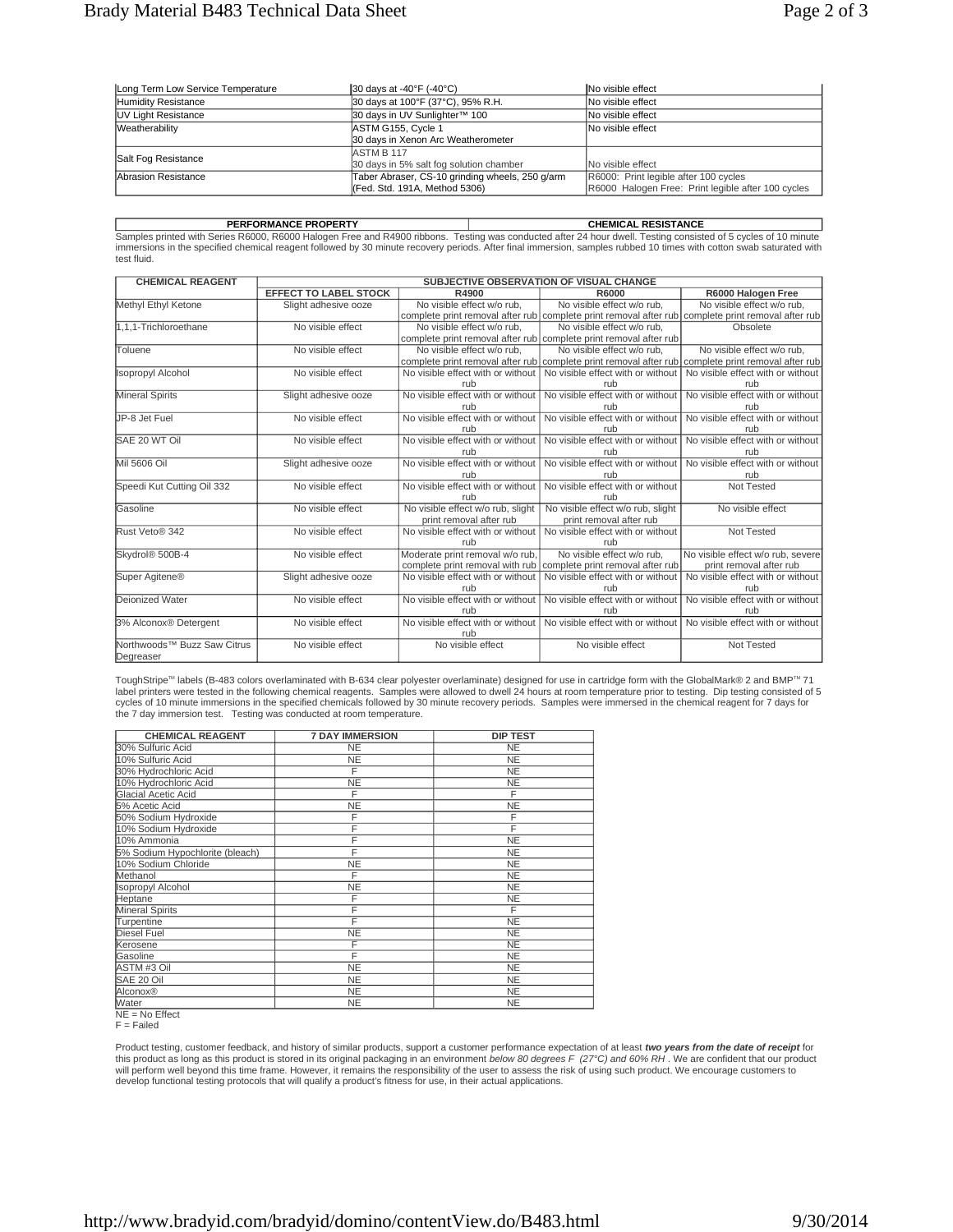| Long Term Low Service Temperature | 30 days at -40°F (-40°C)                                                         | <b>No visible effect</b>                                                                    |
|-----------------------------------|----------------------------------------------------------------------------------|---------------------------------------------------------------------------------------------|
| Humidity Resistance               | 30 days at 100°F (37°C), 95% R.H.                                                | No visible effect                                                                           |
| UV Light Resistance               | 30 days in UV Sunlighter™ 100                                                    | No visible effect                                                                           |
| Weatherability                    | ASTM G155, Cycle 1<br>30 days in Xenon Arc Weatherometer                         | No visible effect                                                                           |
| Salt Fog Resistance               | ASTM B 117<br>30 days in 5% salt fog solution chamber                            | No visible effect                                                                           |
| Abrasion Resistance               | Taber Abraser, CS-10 grinding wheels, 250 g/arm<br>(Fed. Std. 191A, Method 5306) | R6000: Print legible after 100 cycles<br>R6000 Halogen Free: Print legible after 100 cycles |

**PERFORMANCE PROPERTY CHEMICAL RESISTANCE** Samples printed with Series R6000, R6000 Halogen Free and R4900 ribbons. Testing was conducted after 24 hour dwell. Testing consisted of 5 cycles of 10 minute immersions in the specified chemical reagent followed by 30 minute recovery periods. After final immersion, samples rubbed 10 times with cotton swab saturated with test fluid.

| <b>CHEMICAL REAGENT</b>                 | SUBJECTIVE OBSERVATION OF VISUAL CHANGE |                                   |                                                                                                    |                                   |
|-----------------------------------------|-----------------------------------------|-----------------------------------|----------------------------------------------------------------------------------------------------|-----------------------------------|
|                                         | <b>EFFECT TO LABEL STOCK</b>            | R4900                             | R6000                                                                                              | R6000 Halogen Free                |
| Methyl Ethyl Ketone                     | Slight adhesive ooze                    | No visible effect w/o rub,        | No visible effect w/o rub,                                                                         | No visible effect w/o rub.        |
|                                         |                                         |                                   | complete print removal after rub complete print removal after rub complete print removal after rub |                                   |
| 1.1.1-Trichloroethane                   | No visible effect                       | No visible effect w/o rub.        | No visible effect w/o rub.                                                                         | Obsolete                          |
|                                         |                                         |                                   | complete print removal after rub complete print removal after rub                                  |                                   |
| Toluene                                 | No visible effect                       | No visible effect w/o rub.        | No visible effect w/o rub.                                                                         | No visible effect w/o rub.        |
|                                         |                                         |                                   | complete print removal after rub complete print removal after rub complete print removal after rub |                                   |
| <b>Isopropyl Alcohol</b>                | No visible effect                       | No visible effect with or without | No visible effect with or without                                                                  | No visible effect with or without |
|                                         |                                         | rub                               | rub                                                                                                | rub                               |
| <b>Mineral Spirits</b>                  | Slight adhesive ooze                    | No visible effect with or without | No visible effect with or without                                                                  | No visible effect with or without |
|                                         |                                         | rub                               | rub                                                                                                | rub                               |
| JP-8 Jet Fuel                           | No visible effect                       | No visible effect with or without | No visible effect with or without                                                                  | No visible effect with or without |
|                                         |                                         | rub                               | rub                                                                                                | rub                               |
| SAE 20 WT Oil                           | No visible effect                       | No visible effect with or without | No visible effect with or without                                                                  | No visible effect with or without |
|                                         |                                         | rub                               | rub                                                                                                | rub                               |
| Mil 5606 Oil                            | Slight adhesive ooze                    | No visible effect with or without | No visible effect with or without                                                                  | No visible effect with or without |
|                                         |                                         | rub                               | rub                                                                                                | rub                               |
| Speedi Kut Cutting Oil 332              | No visible effect                       | No visible effect with or without | No visible effect with or without                                                                  | Not Tested                        |
|                                         |                                         | rub                               | rub                                                                                                |                                   |
| Gasoline                                | No visible effect                       | No visible effect w/o rub, slight | No visible effect w/o rub, slight                                                                  | No visible effect                 |
|                                         |                                         | print removal after rub           | print removal after rub                                                                            |                                   |
| Rust Veto® 342                          | No visible effect                       | No visible effect with or without | No visible effect with or without                                                                  | Not Tested                        |
|                                         |                                         | rub                               | rub                                                                                                |                                   |
| Skydrol® 500B-4                         | No visible effect                       | Moderate print removal w/o rub,   | No visible effect w/o rub.                                                                         | No visible effect w/o rub, severe |
|                                         |                                         |                                   | complete print removal with rub   complete print removal after rub                                 | print removal after rub           |
| Super Agitene <sup>®</sup>              | Slight adhesive ooze                    | No visible effect with or without | No visible effect with or without                                                                  | No visible effect with or without |
|                                         |                                         | rub                               | rub                                                                                                | rub                               |
| <b>Deionized Water</b>                  | No visible effect                       | No visible effect with or without | No visible effect with or without                                                                  | No visible effect with or without |
|                                         |                                         | rub                               | rub                                                                                                | rub                               |
| 3% Alconox® Detergent                   | No visible effect                       | No visible effect with or without | No visible effect with or without                                                                  | No visible effect with or without |
|                                         |                                         | rub                               |                                                                                                    |                                   |
| Northwoods <sup>™</sup> Buzz Saw Citrus | No visible effect                       | No visible effect                 | No visible effect                                                                                  | Not Tested                        |
| Degreaser                               |                                         |                                   |                                                                                                    |                                   |

ToughStripe™ labels (B-483 colors overlaminated with B-634 clear polyester overlaminate) designed for use in cartridge form with the GlobalMark® 2 and BMP™ 71 label printers were tested in the following chemical reagents. Samples were allowed to dwell 24 hours at room temperature prior to testing. Dip testing consisted of 5<br>cycles of 10 minute immersions in the specified chemica the 7 day immersion test. Testing was conducted at room temperature.

| <b>CHEMICAL REAGENT</b>         | <b>7 DAY IMMERSION</b> | <b>DIP TEST</b> |
|---------------------------------|------------------------|-----------------|
| 30% Sulfuric Acid               | NE.                    | <b>NE</b>       |
| 10% Sulfuric Acid               | <b>NE</b>              | <b>NE</b>       |
| 30% Hydrochloric Acid           | F                      | <b>NE</b>       |
| 10% Hydrochloric Acid           | <b>NE</b>              | <b>NE</b>       |
| Glacial Acetic Acid             | F                      | F               |
| 5% Acetic Acid                  | NE                     | <b>NE</b>       |
| 50% Sodium Hydroxide            | F                      | F               |
| 10% Sodium Hydroxide            | F                      | F               |
| 10% Ammonia                     | F                      | <b>NE</b>       |
| 5% Sodium Hypochlorite (bleach) | F                      | NE              |
| 10% Sodium Chloride             | <b>NE</b>              | <b>NE</b>       |
| Methanol                        | F                      | <b>NE</b>       |
| <b>Isopropyl Alcohol</b>        | <b>NE</b>              | <b>NE</b>       |
| Heptane                         | F                      | <b>NE</b>       |
| <b>Mineral Spirits</b>          | F                      | F               |
| Turpentine                      | F                      | <b>NE</b>       |
| Diesel Fuel                     | NΕ                     | <b>NE</b>       |
| Kerosene                        | F                      | <b>NE</b>       |
| Gasoline                        | F                      | <b>NE</b>       |
| ASTM #3 Oil                     | ΝE.                    | <b>NE</b>       |
| SAE 20 Oil                      | NE                     | <b>NE</b>       |
| Alconox®                        | <b>NE</b>              | <b>NE</b>       |
| Water                           | <b>NE</b>              | <b>NE</b>       |

NE = No Effect

 $F =$ Failed

Product testing, customer feedback, and history of similar products, support a customer performance expectation of at least *two years from the date of receipt* for this product as long as this product is stored in its original packaging in an environment *below 80 degrees F (*27°C*) and 60% RH .* We are confident that our product<br>will perform well beyond this time frame. However, it develop functional testing protocols that will qualify a product's fitness for use, in their actual applications.